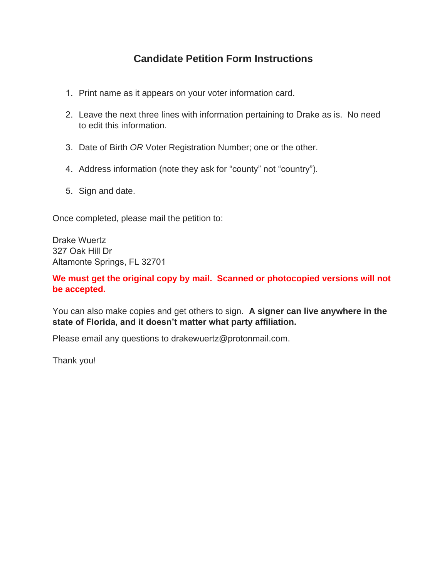## **Candidate Petition Form Instructions**

- 1. Print name as it appears on your voter information card.
- 2. Leave the next three lines with information pertaining to Drake as is. No need to edit this information.
- 3. Date of Birth *OR* Voter Registration Number; one or the other.
- 4. Address information (note they ask for "county" not "country").
- 5. Sign and date.

Once completed, please mail the petition to:

Drake Wuertz 327 Oak Hill Dr Altamonte Springs, FL 32701

**We must get the original copy by mail. Scanned or photocopied versions will not be accepted.**

You can also make copies and get others to sign. **A signer can live anywhere in the state of Florida, and it doesn't matter what party affiliation.**

Please email any questions to drakewuertz@protonmail.com.

Thank you!